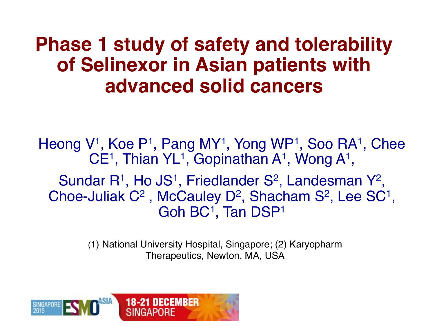### **Phase 1 study of safety and tolerability of Selinexor in Asian patients with advanced solid cancers**

Heong V<sup>1</sup>, Koe P<sup>1</sup>, Pang MY<sup>1</sup>, Yong WP<sup>1</sup>, Soo RA<sup>1</sup>, Chee  $CE<sup>1</sup>$ , Thian YL<sup>1</sup>, Gopinathan A<sup>1</sup>, Wong A<sup>1</sup>,

Sundar  $R^1$ , Ho JS<sup>1</sup>, Friedlander S<sup>2</sup>, Landesman Y<sup>2</sup>, Choe-Juliak  $C^2$ , McCauley D<sup>2</sup>, Shacham S<sup>2</sup>, Lee SC<sup>1</sup>, Goh BC<sup>1</sup>, Tan DSP<sup>1</sup>

> (1) National University Hospital, Singapore; (2) Karyopharm Therapeutics, Newton, MA, USA

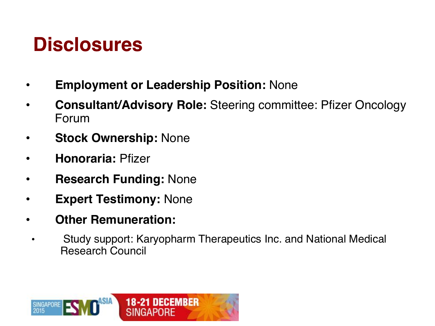# **Disclosures**

- **Employment or Leadership Position:** None
- **Consultant/Advisory Role:** Steering committee: Pfizer Oncology Forum
- **Stock Ownership:** None
- **Honoraria:** Pfizer
- **Research Funding:** None
- **Expert Testimony:** None
- **Other Remuneration:**
- Study support: Karyopharm Therapeutics Inc. and National Medical Research Council

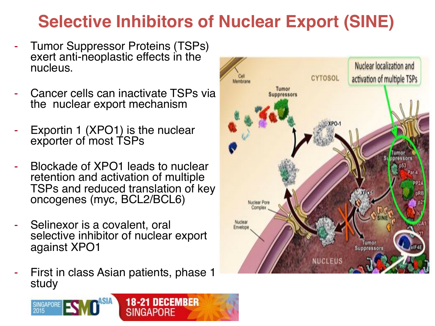### **Selective Inhibitors of Nuclear Export (SINE)**

- Tumor Suppressor Proteins (TSPs) exert anti-neoplastic effects in the nucleus.
- Cancer cells can inactivate TSPs via the nuclear export mechanism
- Exportin 1 (XPO1) is the nuclear exporter of most TSPs
- Blockade of XPO1 leads to nuclear retention and activation of multiple TSPs and reduced translation of key oncogenes (myc, BCL2/BCL6)
- Selinexor is a covalent, oral selective inhibitor of nuclear export against XPO1
- First in class Asian patients, phase 1 study



**18-21 DECEMBER SINGAPORE**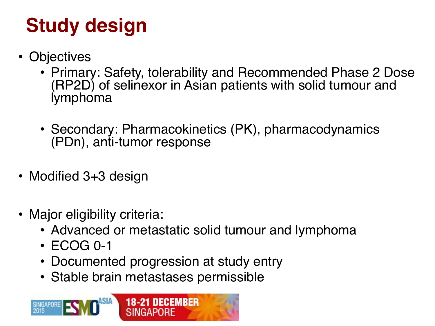# **Study design**

- Objectives
	- Primary: Safety, tolerability and Recommended Phase 2 Dose (RP2D) of selinexor in Asian patients with solid tumour and lymphoma
	- Secondary: Pharmacokinetics (PK), pharmacodynamics (PDn), anti-tumor response
- Modified 3+3 design
- Major eligibility criteria:
	- Advanced or metastatic solid tumour and lymphoma
	- ECOG 0-1
	- Documented progression at study entry
	- Stable brain metastases permissible

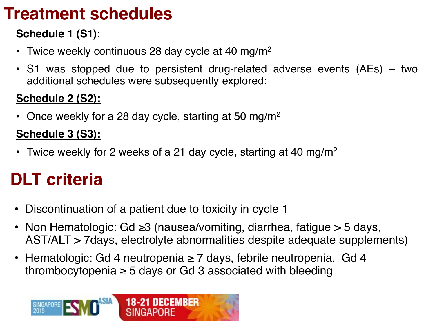### **Treatment schedules**

#### **Schedule 1 (S1)**:

- Twice weekly continuous 28 day cycle at 40 mg/m<sup>2</sup>
- S1 was stopped due to persistent drug-related adverse events (AEs) two additional schedules were subsequently explored:

#### **Schedule 2 (S2):**

• Once weekly for a 28 day cycle, starting at 50 mg/m<sup>2</sup>

#### **Schedule 3 (S3):**

• Twice weekly for 2 weeks of a 21 day cycle, starting at 40 mg/m<sup>2</sup>

### **DLT criteria**

- Discontinuation of a patient due to toxicity in cycle 1
- Non Hematologic: Gd ≥3 (nausea/vomiting, diarrhea, fatigue > 5 days, AST/ALT > 7days, electrolyte abnormalities despite adequate supplements)
- Hematologic: Gd 4 neutropenia ≥ 7 days, febrile neutropenia, Gd 4 thrombocytopenia  $\geq$  5 days or Gd 3 associated with bleeding

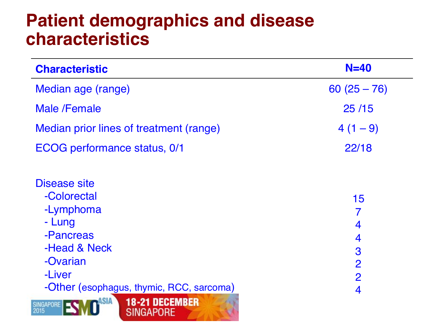### **Patient demographics and disease characteristics**

| <b>Characteristic</b>                                                                                                                             | $N=40$                                                     |
|---------------------------------------------------------------------------------------------------------------------------------------------------|------------------------------------------------------------|
| Median age (range)                                                                                                                                | $60(25-76)$                                                |
| <b>Male /Female</b>                                                                                                                               | 25/15                                                      |
| Median prior lines of treatment (range)                                                                                                           | $4(1-9)$                                                   |
| ECOG performance status, 0/1                                                                                                                      | 22/18                                                      |
| Disease site<br>-Colorectal<br>-Lymphoma<br>- Lung<br>-Pancreas<br>-Head & Neck<br>-Ovarian<br>-Liver<br>-Other (esophagus, thymic, RCC, sarcoma) | 15<br>4<br>4<br>3<br>$\overline{2}$<br>$\overline{2}$<br>4 |
| <b>18-21 DECEMBER</b><br><b>SINGAPORE</b><br>2015<br>SINGAPORE                                                                                    |                                                            |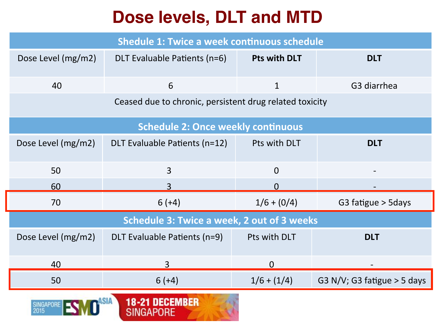### **Dose levels, DLT and MTD**

| <b>Shedule 1: Twice a week continuous schedule</b>      |                               |                     |                               |  |  |  |  |  |  |
|---------------------------------------------------------|-------------------------------|---------------------|-------------------------------|--|--|--|--|--|--|
| Dose Level (mg/m2)                                      | DLT Evaluable Patients (n=6)  | <b>Pts with DLT</b> | <b>DLT</b>                    |  |  |  |  |  |  |
| 40                                                      | 6                             | $\mathbf{1}$        | G3 diarrhea                   |  |  |  |  |  |  |
| Ceased due to chronic, persistent drug related toxicity |                               |                     |                               |  |  |  |  |  |  |
| <b>Schedule 2: Once weekly continuous</b>               |                               |                     |                               |  |  |  |  |  |  |
| Dose Level (mg/m2)                                      | DLT Evaluable Patients (n=12) | Pts with DLT        | <b>DLT</b>                    |  |  |  |  |  |  |
| 50                                                      | $\overline{3}$                | $\overline{0}$      |                               |  |  |  |  |  |  |
| 60                                                      | 3                             | $\Omega$            |                               |  |  |  |  |  |  |
| 70                                                      | $6 (+4)$                      | $1/6 + (0/4)$       | G3 fatigue > 5days            |  |  |  |  |  |  |
| <b>Schedule 3: Twice a week, 2 out of 3 weeks</b>       |                               |                     |                               |  |  |  |  |  |  |
| Dose Level (mg/m2)                                      | DLT Evaluable Patients (n=9)  | Pts with DLT        | <b>DLT</b>                    |  |  |  |  |  |  |
| 40                                                      | 3                             | $\overline{0}$      |                               |  |  |  |  |  |  |
| 50                                                      | $6 (+4)$                      | $1/6 + (1/4)$       | G3 N/V; G3 fatigue $>$ 5 days |  |  |  |  |  |  |
| <b>18-21 DECEMBER</b><br>SINGAPORF<br>2015<br>SINGAPORF |                               |                     |                               |  |  |  |  |  |  |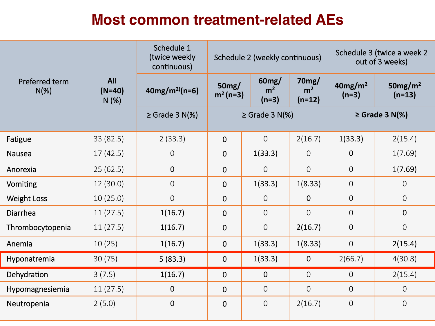#### **Most common treatment-related AEs**

|                           |                                | Schedule 1<br>(twice weekly<br>continuous) |                     | Schedule 2 (weekly continuous)     |                                     | Schedule 3 (twice a week 2<br>out of 3 weeks) |                        |
|---------------------------|--------------------------------|--------------------------------------------|---------------------|------------------------------------|-------------------------------------|-----------------------------------------------|------------------------|
| Preferred term<br>$N(\%)$ | <b>All</b><br>$(N=40)$<br>N(%) | $40mg/m^{2}$ (n=6)                         | 50mg/<br>$m2 (n=3)$ | 60mg/<br>m <sup>2</sup><br>$(n=3)$ | 70mg/<br>m <sup>2</sup><br>$(n=12)$ | 40mg/m <sup>2</sup><br>$(n=3)$                | 50 $mg/m2$<br>$(n=13)$ |
|                           |                                | $\geq$ Grade 3 N(%)                        | $\geq$ Grade 3 N(%) |                                    |                                     | $\geq$ Grade 3 N(%)                           |                        |
| Fatigue                   | 33 (82.5)                      | 2(33.3)                                    | $\mathbf{0}$        | $\overline{O}$                     | 2(16.7)                             | 1(33.3)                                       | 2(15.4)                |
| <b>Nausea</b>             | 17(42.5)                       | $\overline{0}$                             | $\mathbf 0$         | 1(33.3)                            | $\overline{O}$                      | $\overline{0}$                                | 1(7.69)                |
| Anorexia                  | 25(62.5)                       | $\mathbf{0}$                               | $\mathbf 0$         | $\overline{0}$                     | $\overline{O}$                      | $\overline{0}$                                | 1(7.69)                |
| Vomiting                  | 12(30.0)                       | $\overline{O}$                             | $\mathbf 0$         | 1(33.3)                            | 1(8.33)                             | $\overline{0}$                                | $\overline{O}$         |
| <b>Weight Loss</b>        | 10(25.0)                       | $\overline{O}$                             | $\overline{0}$      | $\Omega$                           | $\overline{0}$                      | $\overline{0}$                                | $\overline{O}$         |
| Diarrhea                  | 11(27.5)                       | 1(16.7)                                    | $\overline{0}$      | $\overline{0}$                     | $\overline{O}$                      | $\overline{0}$                                | $\overline{0}$         |
| Thrombocytopenia          | 11(27.5)                       | 1(16.7)                                    | $\overline{0}$      | $\overline{0}$                     | 2(16.7)                             | $\overline{0}$                                | $\overline{0}$         |
| Anemia                    | 10(25)                         | 1(16.7)                                    | $\mathbf 0$         | 1(33.3)                            | 1(8.33)                             | $\overline{0}$                                | 2(15.4)                |
| Hyponatremia              | 30(75)                         | 5(83.3)                                    | $\mathbf 0$         | 1(33.3)                            | $\overline{0}$                      | 2(66.7)                                       | 4(30.8)                |
| Dehydration               | 3(7.5)                         | 1(16.7)                                    | $\mathbf{0}$        | $\Omega$                           | $\overline{0}$                      | $\overline{O}$                                | 2(15.4)                |
| Hypomagnesiemia           | 11(27.5)                       | $\mathbf{0}$                               | $\overline{0}$      | $\Omega$                           | $\overline{0}$                      | 0                                             | $\overline{O}$         |
| Neutropenia               | 2(5.0)                         | $\mathbf 0$                                | $\mathbf 0$         | $\Omega$                           | 2(16.7)                             | $\mathbf 0$                                   | $\overline{O}$         |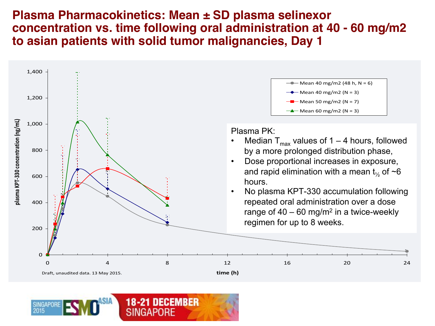#### **Plasma Pharmacokinetics: Mean ± SD plasma selinexor concentration vs. time following oral administration at 40 - 60 mg/m2 to asian patients with solid tumor malignancies, Day 1**



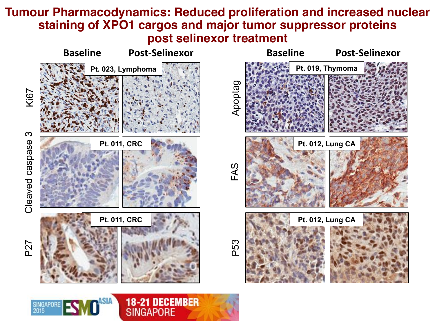#### **Tumour Pharmacodynamics: Reduced proliferation and increased nuclear staining of XPO1 cargos and major tumor suppressor proteins post selinexor treatment**

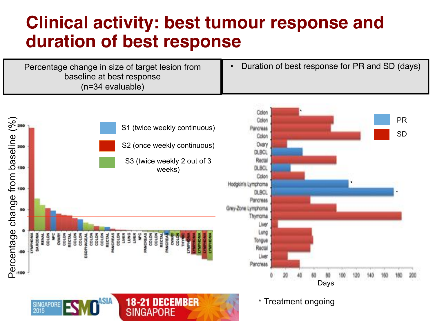### **Clinical activity: best tumour response and duration of best response**

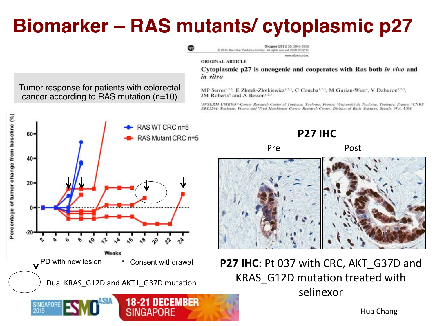# **Biomarker – RAS mutants/ cytoplasmic p27**



Hua Chang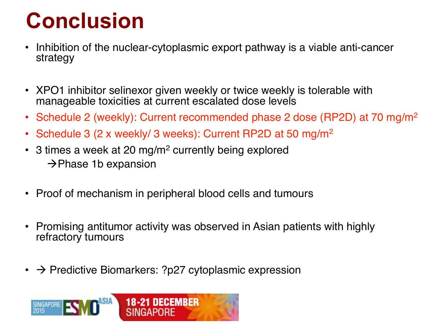# **Conclusion**

- Inhibition of the nuclear-cytoplasmic export pathway is a viable anti-cancer strategy
- XPO1 inhibitor selinexor given weekly or twice weekly is tolerable with manageable toxicities at current escalated dose levels
- Schedule 2 (weekly): Current recommended phase 2 dose (RP2D) at 70 mg/m<sup>2</sup>
- Schedule 3 (2 x weekly/ 3 weeks): Current RP2D at 50 mg/m<sup>2</sup>
- 3 times a week at 20 mg/m<sup>2</sup> currently being explored  $\rightarrow$ Phase 1b expansion
- Proof of mechanism in peripheral blood cells and tumours
- Promising antitumor activity was observed in Asian patients with highly refractory tumours
- $\cdot$   $\rightarrow$  Predictive Biomarkers: ?p27 cytoplasmic expression